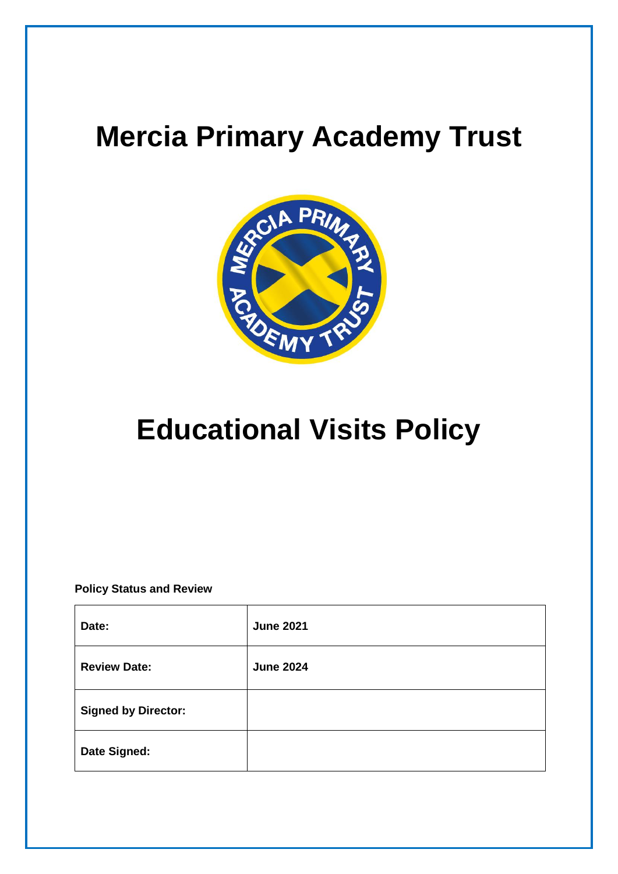# **Mercia Primary Academy Trust**



# **Educational Visits Policy**

**Policy Status and Review**

| Date:                      | <b>June 2021</b> |
|----------------------------|------------------|
| <b>Review Date:</b>        | <b>June 2024</b> |
| <b>Signed by Director:</b> |                  |
| Date Signed:               |                  |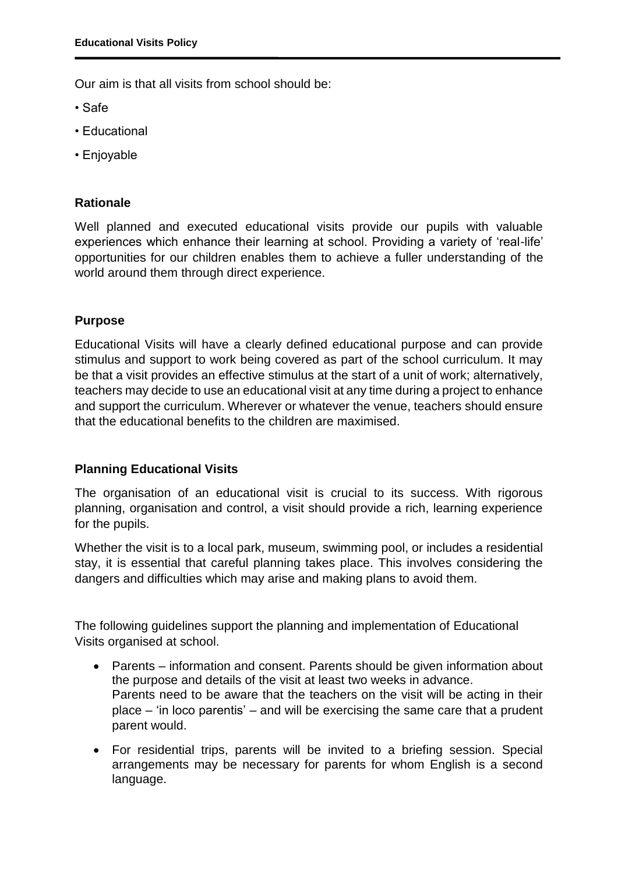Our aim is that all visits from school should be:

- Safe
- Educational
- Enjoyable

# **Rationale**

Well planned and executed educational visits provide our pupils with valuable experiences which enhance their learning at school. Providing a variety of 'real-life' opportunities for our children enables them to achieve a fuller understanding of the world around them through direct experience.

# **Purpose**

Educational Visits will have a clearly defined educational purpose and can provide stimulus and support to work being covered as part of the school curriculum. It may be that a visit provides an effective stimulus at the start of a unit of work; alternatively, teachers may decide to use an educational visit at any time during a project to enhance and support the curriculum. Wherever or whatever the venue, teachers should ensure that the educational benefits to the children are maximised.

# **Planning Educational Visits**

The organisation of an educational visit is crucial to its success. With rigorous planning, organisation and control, a visit should provide a rich, learning experience for the pupils.

Whether the visit is to a local park, museum, swimming pool, or includes a residential stay, it is essential that careful planning takes place. This involves considering the dangers and difficulties which may arise and making plans to avoid them.

The following guidelines support the planning and implementation of Educational Visits organised at school.

- Parents information and consent. Parents should be given information about the purpose and details of the visit at least two weeks in advance. Parents need to be aware that the teachers on the visit will be acting in their place – 'in loco parentis' – and will be exercising the same care that a prudent parent would.
- For residential trips, parents will be invited to a briefing session. Special arrangements may be necessary for parents for whom English is a second language.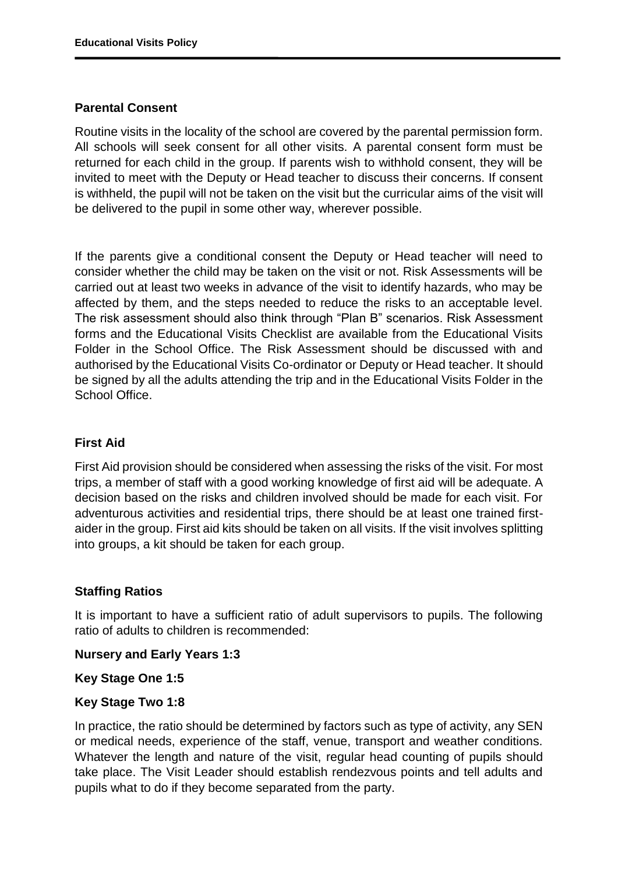## **Parental Consent**

Routine visits in the locality of the school are covered by the parental permission form. All schools will seek consent for all other visits. A parental consent form must be returned for each child in the group. If parents wish to withhold consent, they will be invited to meet with the Deputy or Head teacher to discuss their concerns. If consent is withheld, the pupil will not be taken on the visit but the curricular aims of the visit will be delivered to the pupil in some other way, wherever possible.

If the parents give a conditional consent the Deputy or Head teacher will need to consider whether the child may be taken on the visit or not. Risk Assessments will be carried out at least two weeks in advance of the visit to identify hazards, who may be affected by them, and the steps needed to reduce the risks to an acceptable level. The risk assessment should also think through "Plan B" scenarios. Risk Assessment forms and the Educational Visits Checklist are available from the Educational Visits Folder in the School Office. The Risk Assessment should be discussed with and authorised by the Educational Visits Co-ordinator or Deputy or Head teacher. It should be signed by all the adults attending the trip and in the Educational Visits Folder in the School Office.

## **First Aid**

First Aid provision should be considered when assessing the risks of the visit. For most trips, a member of staff with a good working knowledge of first aid will be adequate. A decision based on the risks and children involved should be made for each visit. For adventurous activities and residential trips, there should be at least one trained firstaider in the group. First aid kits should be taken on all visits. If the visit involves splitting into groups, a kit should be taken for each group.

# **Staffing Ratios**

It is important to have a sufficient ratio of adult supervisors to pupils. The following ratio of adults to children is recommended:

**Nursery and Early Years 1:3**

**Key Stage One 1:5**

### **Key Stage Two 1:8**

In practice, the ratio should be determined by factors such as type of activity, any SEN or medical needs, experience of the staff, venue, transport and weather conditions. Whatever the length and nature of the visit, regular head counting of pupils should take place. The Visit Leader should establish rendezvous points and tell adults and pupils what to do if they become separated from the party.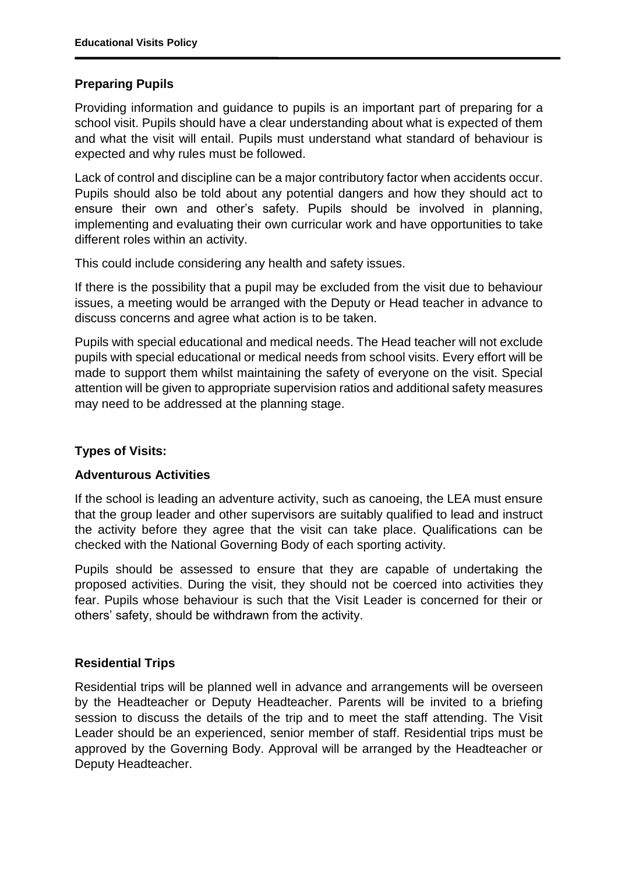## **Preparing Pupils**

Providing information and guidance to pupils is an important part of preparing for a school visit. Pupils should have a clear understanding about what is expected of them and what the visit will entail. Pupils must understand what standard of behaviour is expected and why rules must be followed.

Lack of control and discipline can be a major contributory factor when accidents occur. Pupils should also be told about any potential dangers and how they should act to ensure their own and other's safety. Pupils should be involved in planning, implementing and evaluating their own curricular work and have opportunities to take different roles within an activity.

This could include considering any health and safety issues.

If there is the possibility that a pupil may be excluded from the visit due to behaviour issues, a meeting would be arranged with the Deputy or Head teacher in advance to discuss concerns and agree what action is to be taken.

Pupils with special educational and medical needs. The Head teacher will not exclude pupils with special educational or medical needs from school visits. Every effort will be made to support them whilst maintaining the safety of everyone on the visit. Special attention will be given to appropriate supervision ratios and additional safety measures may need to be addressed at the planning stage.

### **Types of Visits:**

### **Adventurous Activities**

If the school is leading an adventure activity, such as canoeing, the LEA must ensure that the group leader and other supervisors are suitably qualified to lead and instruct the activity before they agree that the visit can take place. Qualifications can be checked with the National Governing Body of each sporting activity.

Pupils should be assessed to ensure that they are capable of undertaking the proposed activities. During the visit, they should not be coerced into activities they fear. Pupils whose behaviour is such that the Visit Leader is concerned for their or others' safety, should be withdrawn from the activity.

### **Residential Trips**

Residential trips will be planned well in advance and arrangements will be overseen by the Headteacher or Deputy Headteacher. Parents will be invited to a briefing session to discuss the details of the trip and to meet the staff attending. The Visit Leader should be an experienced, senior member of staff. Residential trips must be approved by the Governing Body. Approval will be arranged by the Headteacher or Deputy Headteacher.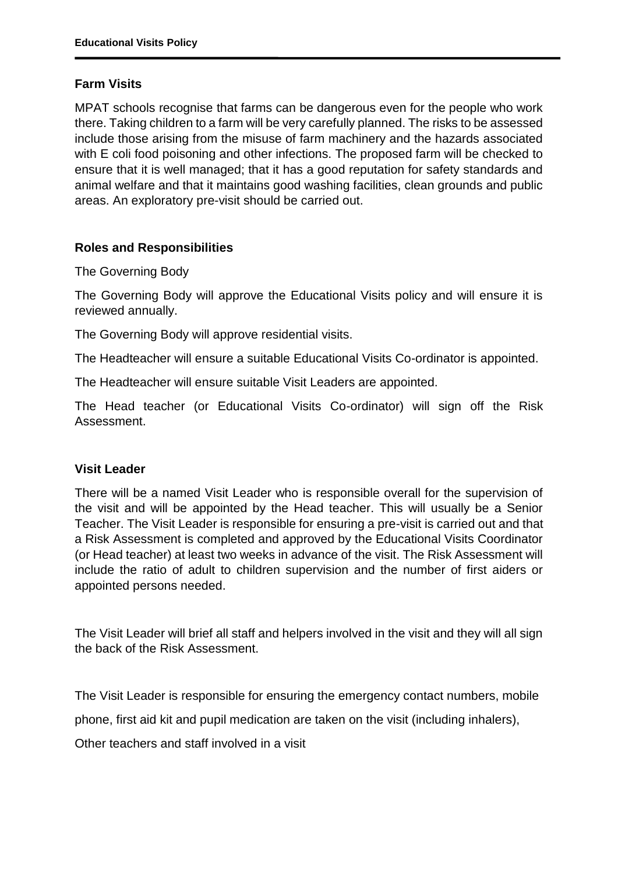## **Farm Visits**

MPAT schools recognise that farms can be dangerous even for the people who work there. Taking children to a farm will be very carefully planned. The risks to be assessed include those arising from the misuse of farm machinery and the hazards associated with E coli food poisoning and other infections. The proposed farm will be checked to ensure that it is well managed; that it has a good reputation for safety standards and animal welfare and that it maintains good washing facilities, clean grounds and public areas. An exploratory pre-visit should be carried out.

## **Roles and Responsibilities**

The Governing Body

The Governing Body will approve the Educational Visits policy and will ensure it is reviewed annually.

The Governing Body will approve residential visits.

The Headteacher will ensure a suitable Educational Visits Co-ordinator is appointed.

The Headteacher will ensure suitable Visit Leaders are appointed.

The Head teacher (or Educational Visits Co-ordinator) will sign off the Risk Assessment.

### **Visit Leader**

There will be a named Visit Leader who is responsible overall for the supervision of the visit and will be appointed by the Head teacher. This will usually be a Senior Teacher. The Visit Leader is responsible for ensuring a pre-visit is carried out and that a Risk Assessment is completed and approved by the Educational Visits Coordinator (or Head teacher) at least two weeks in advance of the visit. The Risk Assessment will include the ratio of adult to children supervision and the number of first aiders or appointed persons needed.

The Visit Leader will brief all staff and helpers involved in the visit and they will all sign the back of the Risk Assessment.

The Visit Leader is responsible for ensuring the emergency contact numbers, mobile

phone, first aid kit and pupil medication are taken on the visit (including inhalers),

Other teachers and staff involved in a visit